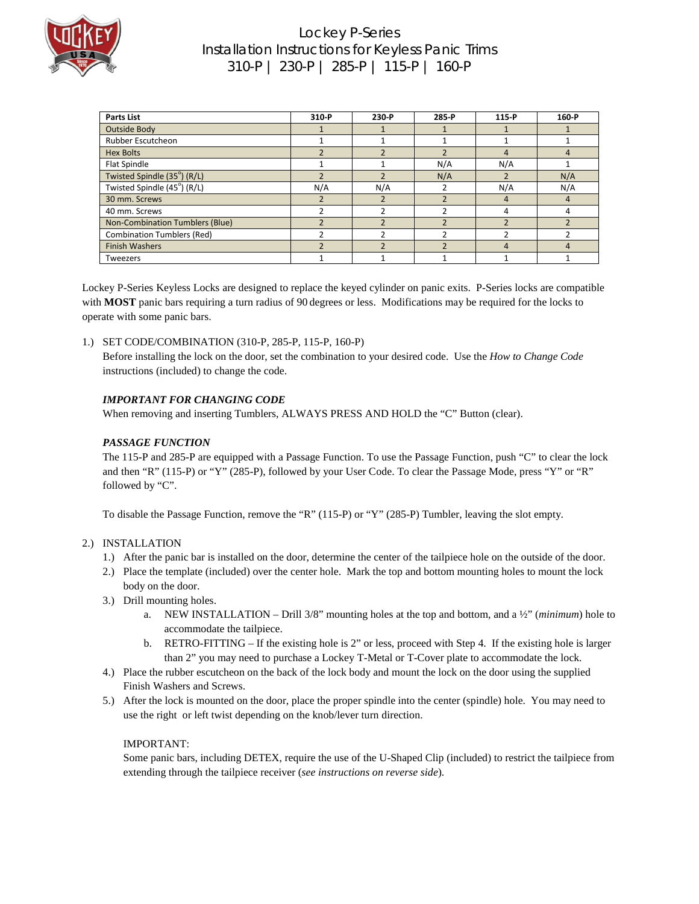

### Lockey P-Series Installation Instructions for Keyless Panic Trims 310-P | 230-P | 285-P | 115-P | 160-P

| <b>Parts List</b>                 | 310 P | 230-P        | 285 P | 115 P | 160-P |
|-----------------------------------|-------|--------------|-------|-------|-------|
| Outside Body                      |       |              |       |       |       |
| Rubber Escutcheon                 |       |              |       |       |       |
| <b>Hex Bolts</b>                  |       |              |       | 4     |       |
| Flat Spindle                      |       |              | N/A   | N/A   |       |
| Twisted Spindle (35°) (R/L)       |       |              | N/A   |       | N/A   |
| Twisted Spindle (45°) (R/L)       | N/A   | N/A          |       | N/A   | N/A   |
| 30 mm. Screws                     |       | $\mathbf{D}$ |       | 4     |       |
| 40 mm. Screws                     |       |              |       |       |       |
| Non-Combination Tumblers (Blue)   |       |              |       |       |       |
| <b>Combination Tumblers (Red)</b> |       |              |       |       |       |
| <b>Finish Washers</b>             |       |              |       | 4     |       |
| Tweezers                          |       |              |       |       |       |

Lockey P-Series Keyless Locks are designed to replace the keyed cylinder on panic exits. P-Series locks are compatible with **MOST** panic bars requiring a turn radius of 90 degrees or less. Modifications may be required for the locks to operate with some panic bars.

1.) SET CODE/COMBINATION (310-P, 285-P, 115-P, 160-P)

Before installing the lock on the door, set the combination to your desired code. Use the *How to Change Code* instructions (included) to change the code.

#### *IMPORTANT FOR CHANGING CODE*

When removing and inserting Tumblers, ALWAYS PRESS AND HOLD the "C" Button (clear).

#### *PASSAGE FUNCTION*

The 115-P and 285-P are equipped with a Passage Function. To use the Passage Function, push "C" to clear the lock and then "R" (115-P) or "Y" (285-P), followed by your User Code. To clear the Passage Mode, press "Y" or "R" followed by "C".

To disable the Passage Function, remove the "R" (115-P) or "Y" (285-P) Tumbler, leaving the slot empty.

#### 2.) INSTALLATION

- 1.) After the panic bar is installed on the door, determine the center of the tailpiece hole on the outside of the door.
- 2.) Place the template (included) over the center hole. Mark the top and bottom mounting holes to mount the lock body on the door.
- 3.) Drill mounting holes.
	- a. NEW INSTALLATION Drill 3/8" mounting holes at the top and bottom, and a ½" (*minimum*) hole to accommodate the tailpiece.
	- b. RETRO-FITTING If the existing hole is 2" or less, proceed with Step 4. If the existing hole is larger than 2" you may need to purchase a Lockey T-Metal or T-Cover plate to accommodate the lock.
- 4.) Place the rubber escutcheon on the back of the lock body and mount the lock on the door using the supplied Finish Washers and Screws.
- 5.) After the lock is mounted on the door, place the proper spindle into the center (spindle) hole. You may need to use the right or left twist depending on the knob/lever turn direction.

#### IMPORTANT:

Some panic bars, including DETEX, require the use of the U-Shaped Clip (included) to restrict the tailpiece from extending through the tailpiece receiver (*see instructions on reverse side*).